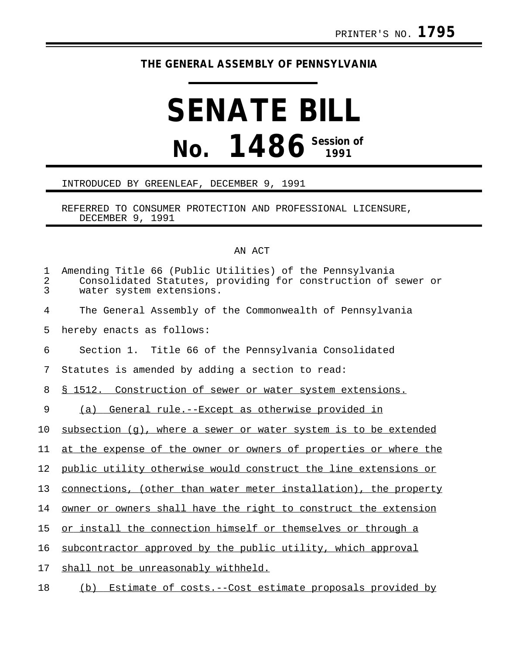## **THE GENERAL ASSEMBLY OF PENNSYLVANIA**

## **SENATE BILL No. 1486 Session of**

## INTRODUCED BY GREENLEAF, DECEMBER 9, 1991

REFERRED TO CONSUMER PROTECTION AND PROFESSIONAL LICENSURE, DECEMBER 9, 1991

## AN ACT

| 1<br>2<br>3 | Amending Title 66 (Public Utilities) of the Pennsylvania<br>Consolidated Statutes, providing for construction of sewer or<br>water system extensions. |
|-------------|-------------------------------------------------------------------------------------------------------------------------------------------------------|
| 4           | The General Assembly of the Commonwealth of Pennsylvania                                                                                              |
| 5           | hereby enacts as follows:                                                                                                                             |
| 6           | Section 1. Title 66 of the Pennsylvania Consolidated                                                                                                  |
| 7           | Statutes is amended by adding a section to read:                                                                                                      |
| 8           | \$ 1512. Construction of sewer or water system extensions.                                                                                            |
| 9           | (a) General rule.--Except as otherwise provided in                                                                                                    |
| 10          | subsection (q), where a sewer or water system is to be extended                                                                                       |
| 11          | at the expense of the owner or owners of properties or where the                                                                                      |
| 12          | public utility otherwise would construct the line extensions or                                                                                       |
| 13          | connections, (other than water meter installation), the property                                                                                      |
| 14          | owner or owners shall have the right to construct the extension                                                                                       |
| 15          | or install the connection himself or themselves or through a                                                                                          |
| 16          | subcontractor approved by the public utility, which approval                                                                                          |
| 17          | shall not be unreasonably withheld.                                                                                                                   |
| 18          | Estimate of costs.--Cost estimate proposals provided by<br>(b)                                                                                        |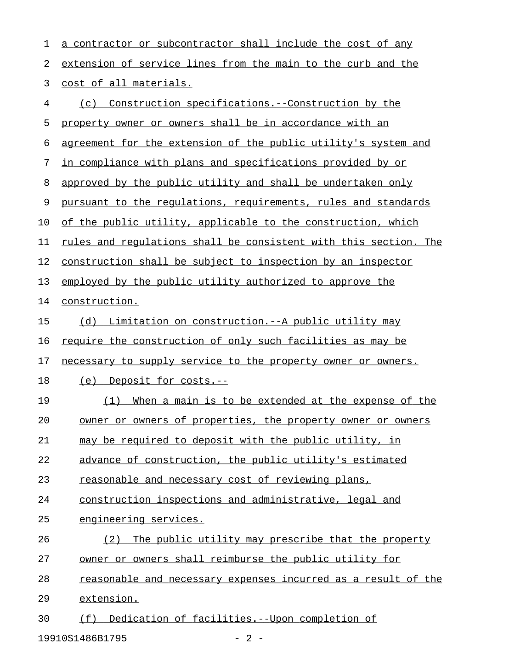| 1  | a contractor or subcontractor shall include the cost of any      |
|----|------------------------------------------------------------------|
| 2  | extension of service lines from the main to the curb and the     |
| 3  | cost of all materials.                                           |
| 4  | Construction specifications.--Construction by the<br>(c)         |
| 5  | property owner or owners shall be in accordance with an          |
| 6  | agreement for the extension of the public utility's system and   |
| 7  | in compliance with plans and specifications provided by or       |
| 8  | approved by the public utility and shall be undertaken only      |
| 9  | pursuant to the regulations, requirements, rules and standards   |
| 10 | of the public utility, applicable to the construction, which     |
| 11 | rules and regulations shall be consistent with this section. The |
| 12 | construction shall be subject to inspection by an inspector      |
| 13 | employed by the public utility authorized to approve the         |
| 14 | construction.                                                    |
| 15 | (d) Limitation on construction.--A public utility may            |
| 16 | require the construction of only such facilities as may be       |
| 17 | necessary to supply service to the property owner or owners.     |
| 18 | <u>Deposit for costs.--</u><br>(e)                               |
| 19 | When a main is to be extended at the expense of the<br>(1)       |
| 20 | owner or owners of properties, the property owner or owners      |
| 21 | may be required to deposit with the public utility, in           |
| 22 | advance of construction, the public utility's estimated          |
| 23 | reasonable and necessary cost of reviewing plans,                |
| 24 | construction inspections and administrative, legal and           |
| 25 | engineering services.                                            |
| 26 | The public utility may prescribe that the property<br>(2)        |
| 27 | owner or owners shall reimburse the public utility for           |
| 28 | reasonable and necessary expenses incurred as a result of the    |
| 29 | extension.                                                       |
| 30 | (f) Dedication of facilities.--Upon completion of                |

19910S1486B1795 - 2 -